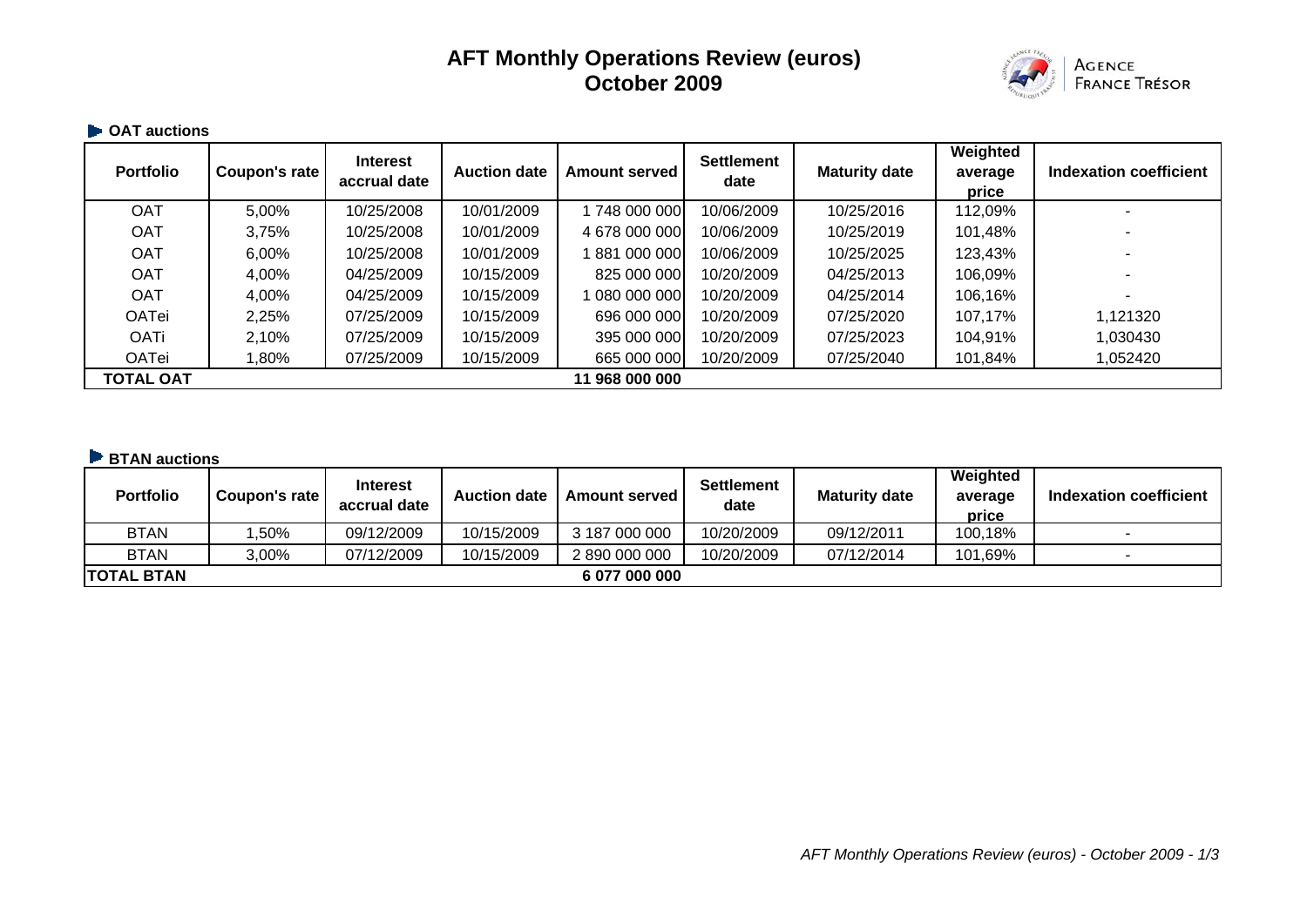# **AFT Monthly Operations Review (euros) October 2009**



### **OAT auctions**

| <b>Portfolio</b> | Coupon's rate | <b>Interest</b><br>accrual date | <b>Auction date</b> | <b>Amount served</b> | <b>Settlement</b><br>date | <b>Maturity date</b> | Weighted<br>average<br>price | Indexation coefficient |
|------------------|---------------|---------------------------------|---------------------|----------------------|---------------------------|----------------------|------------------------------|------------------------|
| <b>OAT</b>       | 5,00%         | 10/25/2008                      | 10/01/2009          | 748 000 000          | 10/06/2009                | 10/25/2016           | 112,09%                      |                        |
| <b>OAT</b>       | 3,75%         | 10/25/2008                      | 10/01/2009          | 4 678 000 000        | 10/06/2009                | 10/25/2019           | 101,48%                      |                        |
| <b>OAT</b>       | 6,00%         | 10/25/2008                      | 10/01/2009          | 881 000 000          | 10/06/2009                | 10/25/2025           | 123,43%                      |                        |
| <b>OAT</b>       | 4,00%         | 04/25/2009                      | 10/15/2009          | 825 000 000          | 10/20/2009                | 04/25/2013           | 106,09%                      |                        |
| <b>OAT</b>       | 4,00%         | 04/25/2009                      | 10/15/2009          | 1 080 000 000 l      | 10/20/2009                | 04/25/2014           | 106,16%                      |                        |
| <b>OATei</b>     | 2,25%         | 07/25/2009                      | 10/15/2009          | 696 000 000          | 10/20/2009                | 07/25/2020           | 107,17%                      | 1,121320               |
| <b>OATi</b>      | 2,10%         | 07/25/2009                      | 10/15/2009          | 395 000 000          | 10/20/2009                | 07/25/2023           | 104,91%                      | 1,030430               |
| <b>OATei</b>     | $,80\%$       | 07/25/2009                      | 10/15/2009          | 665 000 000          | 10/20/2009                | 07/25/2040           | 101,84%                      | 1,052420               |
| <b>TOTAL OAT</b> |               |                                 |                     | 11 968 000 000       |                           |                      |                              |                        |

#### **BTAN auctions**

| <b>Portfolio</b>  | Coupon's rate | <b>Interest</b><br>accrual date | <b>Auction date</b> | <b>Amount served I</b> | <b>Settlement</b><br>date | <b>Maturity date</b> | Weighted<br>average<br>price | Indexation coefficient |
|-------------------|---------------|---------------------------------|---------------------|------------------------|---------------------------|----------------------|------------------------------|------------------------|
| <b>BTAN</b>       | .50%          | 09/12/2009                      | 10/15/2009          | 3 187 000 000          | 10/20/2009                | 09/12/2011           | 100,18%                      |                        |
| <b>BTAN</b>       | 3,00%         | 07/12/2009                      | 10/15/2009          | 2 890 000 000          | 10/20/2009                | 07/12/2014           | 101,69%                      |                        |
| <b>TOTAL BTAN</b> |               |                                 |                     | 6 077 000 000          |                           |                      |                              |                        |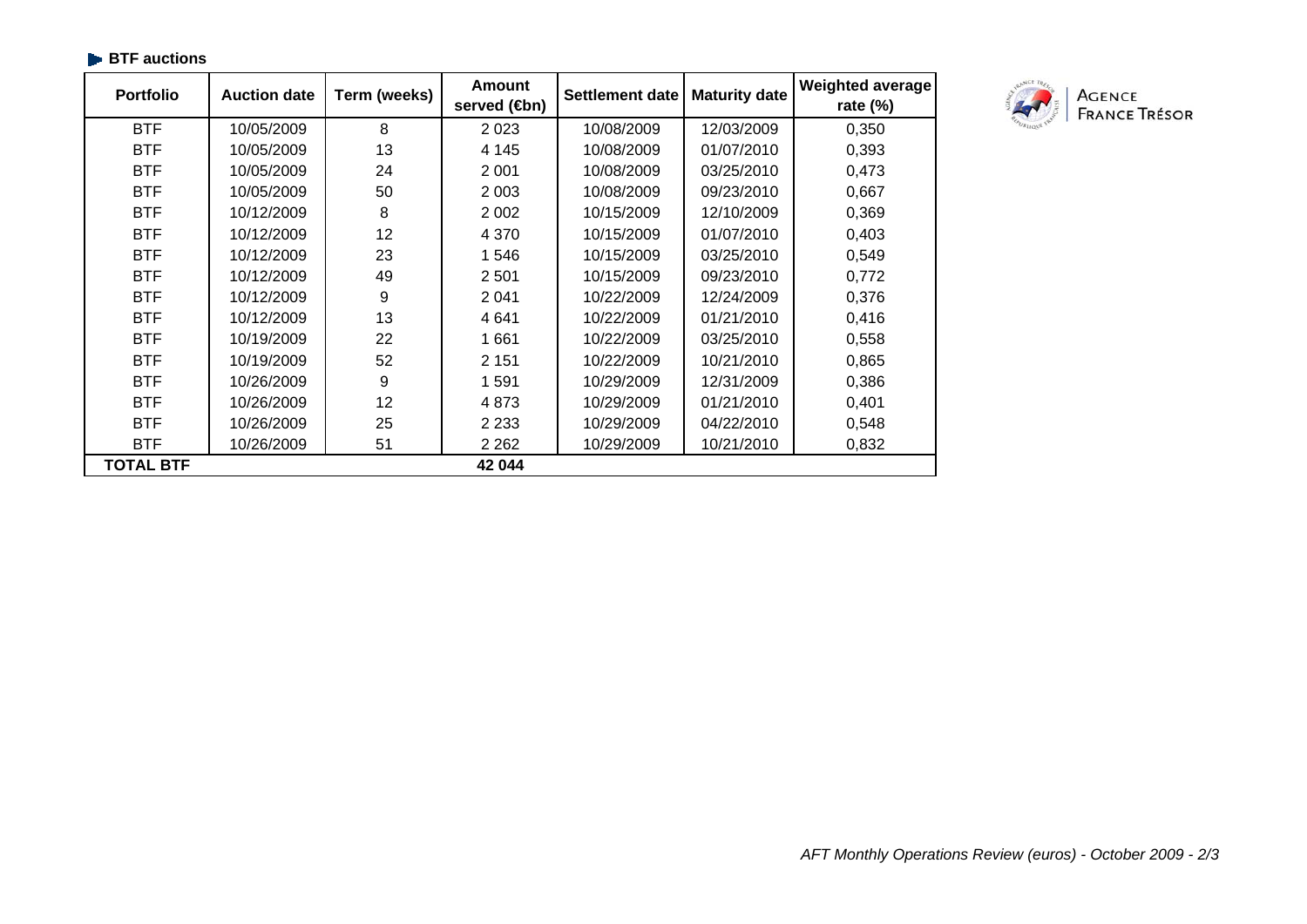| <b>Portfolio</b> | <b>Auction date</b> | Term (weeks) | <b>Amount</b><br>served (sm) | Settlement date | <b>Maturity date</b> | <b>Weighted average</b><br>rate $(\%)$ |
|------------------|---------------------|--------------|------------------------------|-----------------|----------------------|----------------------------------------|
| <b>BTF</b>       | 10/05/2009          | 8            | 2 0 2 3                      | 10/08/2009      | 12/03/2009           | 0,350                                  |
| <b>BTF</b>       | 10/05/2009          | 13           | 4 1 4 5                      | 10/08/2009      | 01/07/2010           | 0,393                                  |
| <b>BTF</b>       | 10/05/2009          | 24           | 2 0 0 1                      | 10/08/2009      | 03/25/2010           | 0,473                                  |
| <b>BTF</b>       | 10/05/2009          | 50           | 2 0 0 3                      | 10/08/2009      | 09/23/2010           | 0,667                                  |
| <b>BTF</b>       | 10/12/2009          | 8            | 2 0 0 2                      | 10/15/2009      | 12/10/2009           | 0,369                                  |
| <b>BTF</b>       | 10/12/2009          | 12           | 4 3 7 0                      | 10/15/2009      | 01/07/2010           | 0,403                                  |
| <b>BTF</b>       | 10/12/2009          | 23           | 1546                         | 10/15/2009      | 03/25/2010           | 0,549                                  |
| <b>BTF</b>       | 10/12/2009          | 49           | 2 5 0 1                      | 10/15/2009      | 09/23/2010           | 0,772                                  |
| <b>BTF</b>       | 10/12/2009          | 9            | 2 0 4 1                      | 10/22/2009      | 12/24/2009           | 0,376                                  |
| <b>BTF</b>       | 10/12/2009          | 13           | 4641                         | 10/22/2009      | 01/21/2010           | 0,416                                  |
| <b>BTF</b>       | 10/19/2009          | 22           | 1661                         | 10/22/2009      | 03/25/2010           | 0,558                                  |
| <b>BTF</b>       | 10/19/2009          | 52           | 2 1 5 1                      | 10/22/2009      | 10/21/2010           | 0,865                                  |
| <b>BTF</b>       | 10/26/2009          | 9            | 1591                         | 10/29/2009      | 12/31/2009           | 0,386                                  |
| <b>BTF</b>       | 10/26/2009          | 12           | 4873                         | 10/29/2009      | 01/21/2010           | 0,401                                  |
| <b>BTF</b>       | 10/26/2009          | 25           | 2 2 3 3                      | 10/29/2009      | 04/22/2010           | 0,548                                  |
| <b>BTF</b>       | 10/26/2009          | 51           | 2 2 6 2                      | 10/29/2009      | 10/21/2010           | 0,832                                  |
| TOTAL BTF        |                     |              | 42 044                       |                 |                      |                                        |